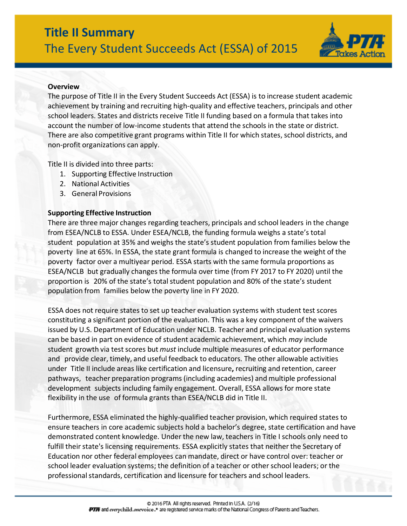

# **Overview**

The purpose of Title II in the Every Student Succeeds Act (ESSA) is to increase student academic achievement by training and recruiting high-quality and effective teachers, principals and other school leaders. States and districts receive Title II funding based on a formula that takes into account the number of low-income students that attend the schools in the state or district. There are also competitive grant programs within Title II for which states, school districts, and non-profit organizations can apply.

Title II is divided into three parts:

- 1. Supporting Effective Instruction
- 2. National Activities
- 3. General Provisions

# **Supporting Effective Instruction**

There are three major changes regarding teachers, principals and school leaders in the change from ESEA/NCLB to ESSA. Under ESEA/NCLB, the funding formula weighs a state's total student population at 35% and weighs the state's student population from families below the poverty line at 65%. In ESSA, the state grant formula is changed to increase the weight of the poverty factor over a multiyear period. ESSA starts with the same formula proportions as ESEA/NCLB but gradually changes the formula over time (from FY 2017 to FY 2020) until the proportion is 20% of the state's total student population and 80% of the state's student population from families below the poverty line in FY 2020.

ESSA does not require states to set up teacher evaluation systems with student test scores constituting a significant portion of the evaluation. This was a key component of the waivers issued by U.S. Department of Education under NCLB. Teacher and principal evaluation systems can be based in part on evidence of student academic achievement, which *may* include student growth via test scores but *must* include multiple measures of educator performance and provide clear, timely, and useful feedback to educators. The other allowable activities under Title II include areas like certification and licensure**,** recruiting and retention, career pathways, teacher preparation programs (including academies) and multiple professional development subjects including family engagement. Overall, ESSA allows for more state flexibility in the use of formula grants than ESEA/NCLB did in Title II.

Furthermore, ESSA eliminated the highly-qualified teacher provision, which required states to ensure teachers in core academic subjects hold a bachelor's degree, state certification and have demonstrated content knowledge. Under the new law, teachers in Title I schools only need to fulfill their state's licensing requirements. ESSA explicitly states that neither the Secretary of Education nor other federal employees can mandate, direct or have control over: teacher or school leader evaluation systems; the definition of a teacher or other school leaders; or the professional standards, certification and licensure for teachers and school leaders.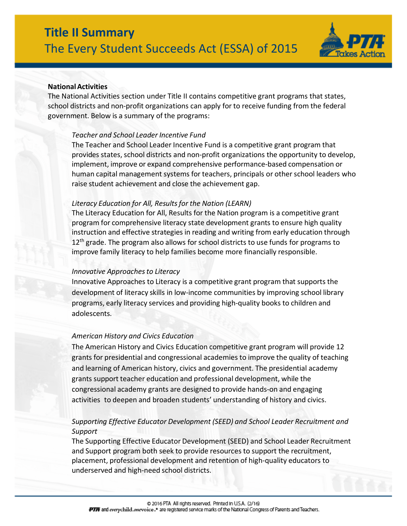

#### **NationalActivities**

The National Activities section under Title II contains competitive grant programs that states, school districts and non-profit organizations can apply for to receive funding from the federal government. Below is a summary of the programs:

#### *Teacher and School Leader Incentive Fund*

The Teacher and School Leader Incentive Fund is a competitive grant program that provides states, school districts and non-profit organizations the opportunity to develop, implement, improve or expand comprehensive performance-based compensation or human capital management systems for teachers, principals or other school leaders who raise student achievement and close the achievement gap.

## *Literacy Education for All, Resultsfor the Nation (LEARN)*

The Literacy Education for All, Results for the Nation program is a competitive grant program for comprehensive literacy state development grants to ensure high quality instruction and effective strategies in reading and writing from early education through  $12<sup>th</sup>$  grade. The program also allows for school districts to use funds for programs to improve family literacy to help families become more financially responsible.

## *Innovative Approachesto Literacy*

Innovative Approaches to Literacy is a competitive grant program that supports the development of literacy skills in low-income communities by improving school library programs, early literacy services and providing high-quality books to children and adolescents.

## *American History and Civics Education*

The American History and Civics Education competitive grant program will provide 12 grants for presidential and congressional academies to improve the quality of teaching and learning of American history, civics and government. The presidential academy grants support teacher education and professional development, while the congressional academy grants are designed to provide hands-on and engaging activities to deepen and broaden students' understanding of history and civics.

# *Supporting Effective Educator Development (SEED) and School Leader Recruitment and Support*

The Supporting Effective Educator Development (SEED) and School Leader Recruitment and Support program both seek to provide resources to support the recruitment, placement, professional development and retention of high-quality educators to underserved and high-need school districts.